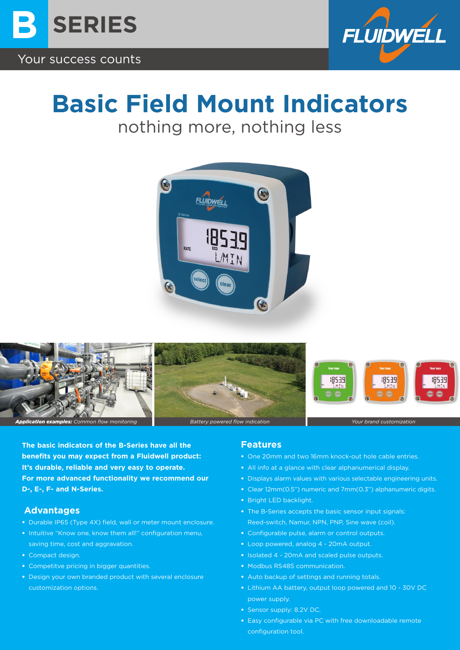



# **Basic Field Mount Indicators**

nothing more, nothing less





**The basic indicators of the B-Series have all the benefits you may expect from a Fluidwell product: It's durable, reliable and very easy to operate. For more advanced functionality we recommend our D-, E-, F- and N-Series.** 

#### **Advantages**

- Durable IP65 (Type 4X) field, wall or meter mount enclosure.
- Intuitive "Know one, know them all!" configuration menu, saving time, cost and aggravation.
- Compact design.
- Competitve pricing in bigger quantities.
- Design your own branded product with several enclosure customization options.

#### **Features**

- One 20mm and two 16mm knock-out hole cable entries.
- All info at a glance with clear alphanumerical display.
- Displays alarm values with various selectable engineering units.
- Clear 12mm(0.5") numeric and 7mm(0.3") alphanumeric digits.
- Bright LED backlight.
- The B-Series accepts the basic sensor input signals: Reed-switch, Namur, NPN, PNP, Sine wave (coil).
- Configurable pulse, alarm or control outputs.
- Loop powered, analog 4 20mA output.
- Isolated 4 20mA and scaled pulse outputs.
- Modbus RS485 communication.
- Auto backup of settings and running totals.
- Lithium AA battery, output loop powered and 10 30V DC power supply.
- Sensor supply: 8.2V DC.
- Easy configurable via PC with free downloadable remote configuration tool.